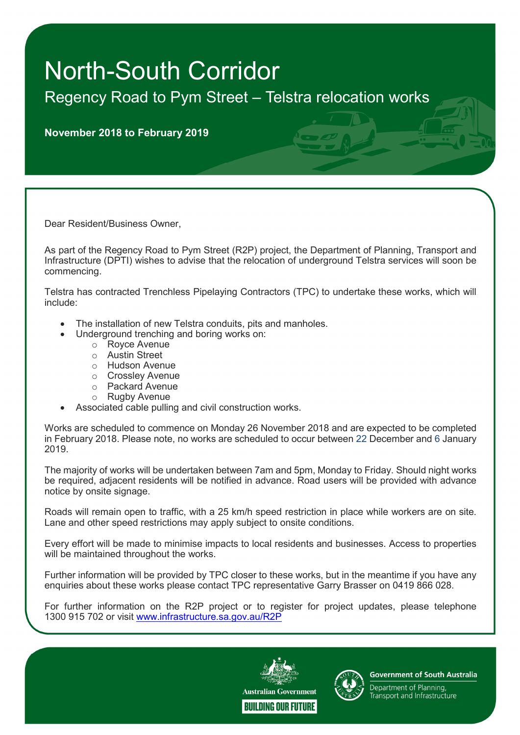## North-South Corridor

Regency Road to Pym Street – Telstra relocation works

November 2018 to February 2019

Dear Resident/Business Owner,

As part of the Regency Road to Pym Street (R2P) project, the Department of Planning, Transport and Infrastructure (DPTI) wishes to advise that the relocation of underground Telstra services will soon be commencing.

Telstra has contracted Trenchless Pipelaying Contractors (TPC) to undertake these works, which will include:

- The installation of new Telstra conduits, pits and manholes.
	- Underground trenching and boring works on:
		- o Royce Avenue
		- o Austin Street
		- o Hudson Avenue
		- o Crossley Avenue
		- o Packard Avenue
		- o Rugby Avenue
- Associated cable pulling and civil construction works.

Works are scheduled to commence on Monday 26 November 2018 and are expected to be completed in February 2018. Please note, no works are scheduled to occur between 22 December and 6 January 2019.

The majority of works will be undertaken between 7am and 5pm, Monday to Friday. Should night works be required, adjacent residents will be notified in advance. Road users will be provided with advance notice by onsite signage.

Roads will remain open to traffic, with a 25 km/h speed restriction in place while workers are on site. Lane and other speed restrictions may apply subject to onsite conditions.

Every effort will be made to minimise impacts to local residents and businesses. Access to properties will be maintained throughout the works.

Further information will be provided by TPC closer to these works, but in the meantime if you have any enquiries about these works please contact TPC representative Garry Brasser on 0419 866 028.

For further information on the R2P project or to register for project updates, please telephone 1300 915 702 or visit www.infrastructure.sa.gov.au/R2P





**Government of South Australia** 

Department of Planning, Transport and Infrastructure